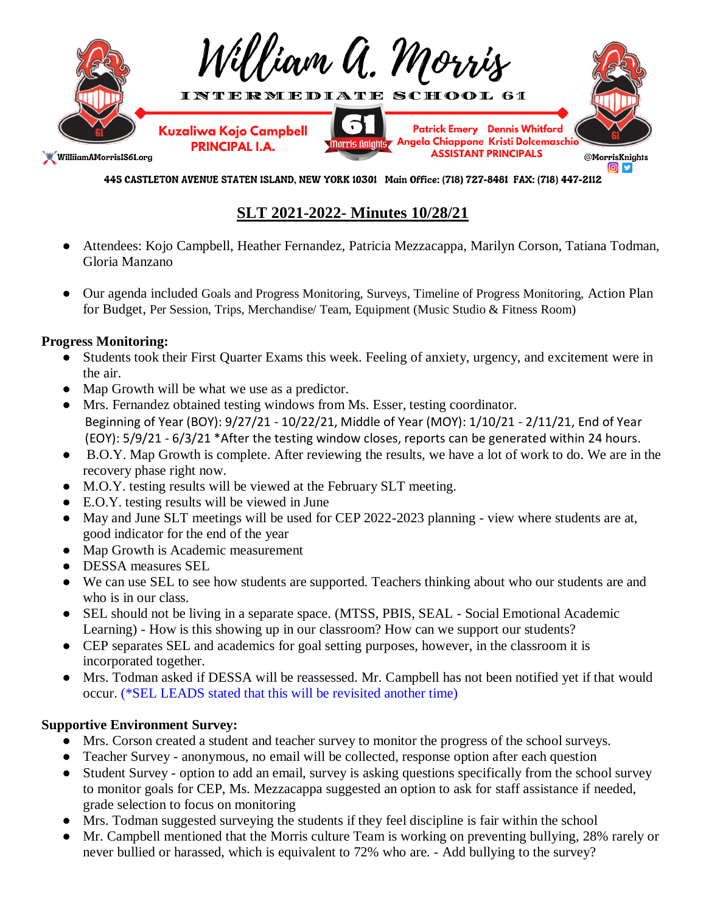

445 CASTLETON AVENUE STATEN ISLAND, NEW YORK 10301 Main Office: (718) 727-8481 FAX: (718) 447-2112

# **SLT 2021-2022- Minutes 10/28/21**

- Attendees: Kojo Campbell, Heather Fernandez, Patricia Mezzacappa, Marilyn Corson, Tatiana Todman, Gloria Manzano
- Our agenda included Goals and Progress Monitoring, Surveys, Timeline of Progress Monitoring, Action Plan for Budget, Per Session, Trips, Merchandise/ Team, Equipment (Music Studio & Fitness Room)

## **Progress Monitoring:**

- Students took their First Quarter Exams this week. Feeling of anxiety, urgency, and excitement were in the air.
- Map Growth will be what we use as a predictor.
- Mrs. Fernandez obtained testing windows from Ms. Esser, testing coordinator. Beginning of Year (BOY): 9/27/21 - 10/22/21, Middle of Year (MOY): 1/10/21 - 2/11/21, End of Year (EOY): 5/9/21 - 6/3/21 \*After the testing window closes, reports can be generated within 24 hours.
- B.O.Y. Map Growth is complete. After reviewing the results, we have a lot of work to do. We are in the recovery phase right now.
- M.O.Y. testing results will be viewed at the February SLT meeting.
- E.O.Y. testing results will be viewed in June
- May and June SLT meetings will be used for CEP 2022-2023 planning view where students are at, good indicator for the end of the year
- Map Growth is Academic measurement
- DESSA measures SEL
- We can use SEL to see how students are supported. Teachers thinking about who our students are and who is in our class.
- SEL should not be living in a separate space. (MTSS, PBIS, SEAL Social Emotional Academic Learning) - How is this showing up in our classroom? How can we support our students?
- CEP separates SEL and academics for goal setting purposes, however, in the classroom it is incorporated together.
- Mrs. Todman asked if DESSA will be reassessed. Mr. Campbell has not been notified yet if that would occur. (\*SEL LEADS stated that this will be revisited another time)

# **Supportive Environment Survey:**

- Mrs. Corson created a student and teacher survey to monitor the progress of the school surveys.
- Teacher Survey anonymous, no email will be collected, response option after each question
- Student Survey option to add an email, survey is asking questions specifically from the school survey to monitor goals for CEP, Ms. Mezzacappa suggested an option to ask for staff assistance if needed, grade selection to focus on monitoring
- Mrs. Todman suggested surveying the students if they feel discipline is fair within the school
- Mr. Campbell mentioned that the Morris culture Team is working on preventing bullying, 28% rarely or never bullied or harassed, which is equivalent to 72% who are. - Add bullying to the survey?